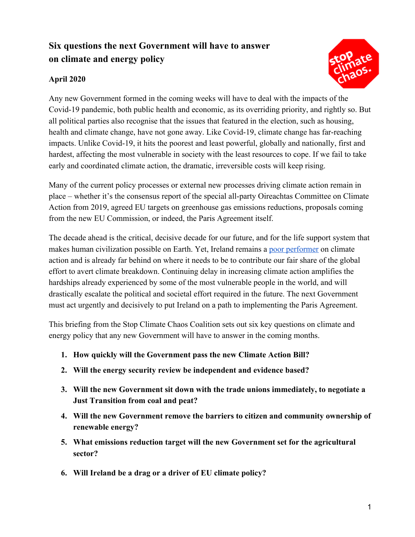# **Six questions the next Government will have to answer on climate and energy policy**



## **April 2020**

Any new Government formed in the coming weeks will have to deal with the impacts of the Covid-19 pandemic, both public health and economic, as its overriding priority, and rightly so. But all political parties also recognise that the issues that featured in the election, such as housing, health and climate change, have not gone away. Like Covid-19, climate change has far-reaching impacts. Unlike Covid-19, it hits the poorest and least powerful, globally and nationally, first and hardest, affecting the most vulnerable in society with the least resources to cope. If we fail to take early and coordinated climate action, the dramatic, irreversible costs will keep rising.

Many of the current policy processes or external new processes driving climate action remain in place – whether it's the consensus report of the special all-party Oireachtas Committee on Climate Action from 2019, agreed EU targets on greenhouse gas emissions reductions, proposals coming from the new EU Commission, or indeed, the Paris Agreement itself.

The decade ahead is the critical, decisive decade for our future, and for the life support system that makes human civilization possible on Earth. Yet, Ireland remains a [poor performer](https://www.epa.ie/pubs/reports/air/airemissions/ghgprojections2018-2040/Greenhouse_Gas_Projections.pdf) on climate action and is already far behind on where it needs to be to contribute our fair share of the global effort to avert climate breakdown. Continuing delay in increasing climate action amplifies the hardships already experienced by some of the most vulnerable people in the world, and will drastically escalate the political and societal effort required in the future. The next Government must act urgently and decisively to put Ireland on a path to implementing the Paris Agreement.

This briefing from the Stop Climate Chaos Coalition sets out six key questions on climate and energy policy that any new Government will have to answer in the coming months.

- **1. How quickly will the Government pass the new Climate Action Bill?**
- **2. Will the energy security review be independent and evidence based?**
- **3. Will the new Government sit down with the trade unions immediately, to negotiate a Just Transition from coal and peat?**
- **4. Will the new Government remove the barriers to citizen and community ownership of renewable energy?**
- **5. What emissions reduction target will the new Government set for the agricultural sector?**
- **6. Will Ireland be a drag or a driver of EU climate policy?**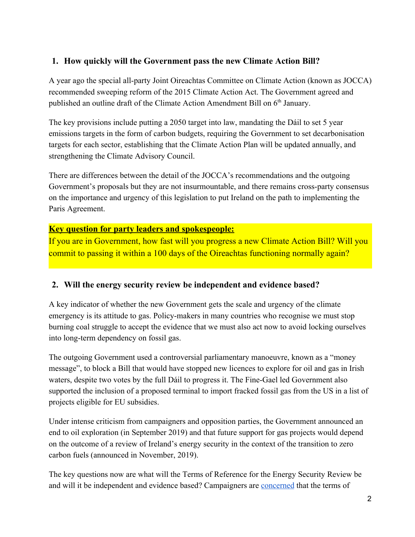## **1. How quickly will the Government pass the new Climate Action Bill?**

A year ago the special all-party Joint Oireachtas Committee on Climate Action (known as JOCCA) recommended sweeping reform of the 2015 Climate Action Act. The Government agreed and published an outline draft of the Climate Action Amendment Bill on 6<sup>th</sup> January.

The key provisions include putting a 2050 target into law, mandating the Dáil to set 5 year emissions targets in the form of carbon budgets, requiring the Government to set decarbonisation targets for each sector, establishing that the Climate Action Plan will be updated annually, and strengthening the Climate Advisory Council.

There are differences between the detail of the JOCCA's recommendations and the outgoing Government's proposals but they are not insurmountable, and there remains cross-party consensus on the importance and urgency of this legislation to put Ireland on the path to implementing the Paris Agreement.

## **Key question for party leaders and spokespeople:**

If you are in Government, how fast will you progress a new Climate Action Bill? Will you commit to passing it within a 100 days of the Oireachtas functioning normally again?

## **2. Will the energy security review be independent and evidence based?**

A key indicator of whether the new Government gets the scale and urgency of the climate emergency is its attitude to gas. Policy-makers in many countries who recognise we must stop burning coal struggle to accept the evidence that we must also act now to avoid locking ourselves into long-term dependency on fossil gas.

The outgoing Government used a controversial parliamentary manoeuvre, known as a "money message", to block a Bill that would have stopped new licences to explore for oil and gas in Irish waters, despite two votes by the full Dáil to progress it. The Fine-Gael led Government also supported the inclusion of a proposed terminal to import fracked fossil gas from the US in a list of projects eligible for EU subsidies.

Under intense criticism from campaigners and opposition parties, the Government announced an end to oil exploration (in September 2019) and that future support for gas projects would depend on the outcome of a review of Ireland's energy security in the context of the transition to zero carbon fuels (announced in November, 2019).

The key questions now are what will the Terms of Reference for the Energy Security Review be and will it be independent and evidence based? Campaigners are [concerned](https://www.stopclimatechaos.ie/news/2020/03/22/climate-coalition-publishes-priorities-for-propose/) that the terms of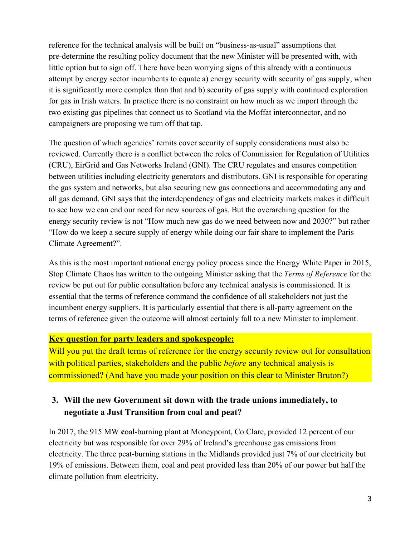reference for the technical analysis will be built on "business-as-usual" assumptions that pre-determine the resulting policy document that the new Minister will be presented with, with little option but to sign off. There have been worrying signs of this already with a continuous attempt by energy sector incumbents to equate a) energy security with security of gas supply, when it is significantly more complex than that and b) security of gas supply with continued exploration for gas in Irish waters. In practice there is no constraint on how much as we import through the two existing gas pipelines that connect us to Scotland via the Moffat interconnector, and no campaigners are proposing we turn off that tap.

The question of which agencies' remits cover security of supply considerations must also be reviewed. Currently there is a conflict between the roles of Commission for Regulation of Utilities (CRU), EirGrid and Gas Networks Ireland (GNI). The CRU regulates and ensures competition between utilities including electricity generators and distributors. GNI is responsible for operating the gas system and networks, but also securing new gas connections and accommodating any and all gas demand. GNI says that the interdependency of gas and electricity markets makes it difficult to see how we can end our need for new sources of gas. But the overarching question for the energy security review is not "How much new gas do we need between now and 2030?" but rather "How do we keep a secure supply of energy while doing our fair share to implement the Paris Climate Agreement?".

As this is the most important national energy policy process since the Energy White Paper in 2015, Stop Climate Chaos has written to the outgoing Minister asking that the *Terms of Reference* for the review be put out for public consultation before any technical analysis is commissioned. It is essential that the terms of reference command the confidence of all stakeholders not just the incumbent energy suppliers. It is particularly essential that there is all-party agreement on the terms of reference given the outcome will almost certainly fall to a new Minister to implement.

### **Key question for party leaders and spokespeople:**

Will you put the draft terms of reference for the energy security review out for consultation with political parties, stakeholders and the public *before* any technical analysis is commissioned? (And have you made your position on this clear to Minister Bruton?)

## **3. Will the new Government sit down with the trade unions immediately, to negotiate a Just Transition from coal and peat?**

In 2017, the 915 MW **c**oal-burning plant at Moneypoint, Co Clare, provided 12 percent of our electricity but was responsible for over 29% of Ireland's greenhouse gas emissions from electricity. The three peat-burning stations in the Midlands provided just 7% of our electricity but 19% of emissions. Between them, coal and peat provided less than 20% of our power but half the climate pollution from electricity.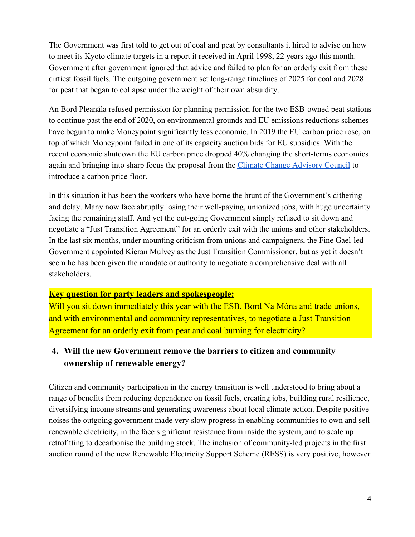The Government was first told to get out of coal and peat by consultants it hired to advise on how to meet its Kyoto climate targets in a report it received in April 1998, 22 years ago this month. Government after government ignored that advice and failed to plan for an orderly exit from these dirtiest fossil fuels. The outgoing government set long-range timelines of 2025 for coal and 2028 for peat that began to collapse under the weight of their own absurdity.

An Bord Pleanála refused permission for planning permission for the two ESB-owned peat stations to continue past the end of 2020, on environmental grounds and EU emissions reductions schemes have begun to make Moneypoint significantly less economic. In 2019 the EU carbon price rose, on top of which Moneypoint failed in one of its capacity auction bids for EU subsidies. With the recent economic shutdown the EU carbon price dropped 40% changing the short-terms economics again and bringing into sharp focus the proposal from the [Climate Change Advisory Council](http://www.climatecouncil.ie/media/Climate%20Change%20Advisory%20Council%20Annual%20Review%202019.pdf) to introduce a carbon price floor.

In this situation it has been the workers who have borne the brunt of the Government's dithering and delay. Many now face abruptly losing their well-paying, unionized jobs, with huge uncertainty facing the remaining staff. And yet the out-going Government simply refused to sit down and negotiate a "Just Transition Agreement" for an orderly exit with the unions and other stakeholders. In the last six months, under mounting criticism from unions and campaigners, the Fine Gael-led Government appointed Kieran Mulvey as the Just Transition Commissioner, but as yet it doesn't seem he has been given the mandate or authority to negotiate a comprehensive deal with all stakeholders.

## **Key question for party leaders and spokespeople:**

Will you sit down immediately this year with the ESB, Bord Na Móna and trade unions, and with environmental and community representatives, to negotiate a Just Transition Agreement for an orderly exit from peat and coal burning for electricity?

## **4. Will the new Government remove the barriers to citizen and community ownership of renewable energy?**

Citizen and community participation in the energy transition is well understood to bring about a range of benefits from reducing dependence on fossil fuels, creating jobs, building rural resilience, diversifying income streams and generating awareness about local climate action. Despite positive noises the outgoing government made very slow progress in enabling communities to own and sell renewable electricity, in the face significant resistance from inside the system, and to scale up retrofitting to decarbonise the building stock. The inclusion of community-led projects in the first auction round of the new Renewable Electricity Support Scheme (RESS) is very positive, however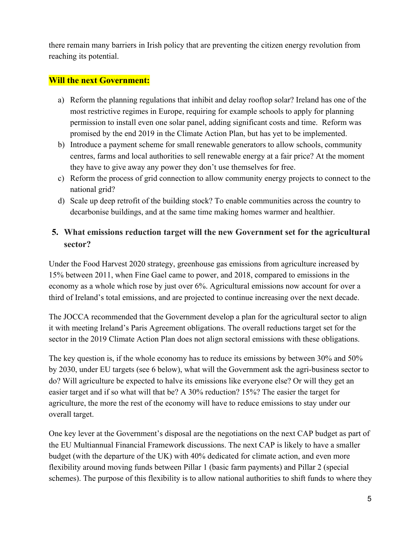there remain many barriers in Irish policy that are preventing the citizen energy revolution from reaching its potential.

### **Will the next Government:**

- a) Reform the planning regulations that inhibit and delay rooftop solar? Ireland has one of the most restrictive regimes in Europe, requiring for example schools to apply for planning permission to install even one solar panel, adding significant costs and time. Reform was promised by the end 2019 in the Climate Action Plan, but has yet to be implemented.
- b) Introduce a payment scheme for small renewable generators to allow schools, community centres, farms and local authorities to sell renewable energy at a fair price? At the moment they have to give away any power they don't use themselves for free.
- c) Reform the process of grid connection to allow community energy projects to connect to the national grid?
- d) Scale up deep retrofit of the building stock? To enable communities across the country to decarbonise buildings, and at the same time making homes warmer and healthier.

## **5. What emissions reduction target will the new Government set for the agricultural sector?**

Under the Food Harvest 2020 strategy, greenhouse gas emissions from agriculture increased by 15% between 2011, when Fine Gael came to power, and 2018, compared to emissions in the economy as a whole which rose by just over 6%. Agricultural emissions now account for over a third of Ireland's total emissions, and are projected to continue increasing over the next decade.

The JOCCA recommended that the Government develop a plan for the agricultural sector to align it with meeting Ireland's Paris Agreement obligations. The overall reductions target set for the sector in the 2019 Climate Action Plan does not align sectoral emissions with these obligations.

The key question is, if the whole economy has to reduce its emissions by between 30% and 50% by 2030, under EU targets (see 6 below), what will the Government ask the agri-business sector to do? Will agriculture be expected to halve its emissions like everyone else? Or will they get an easier target and if so what will that be? A 30% reduction? 15%? The easier the target for agriculture, the more the rest of the economy will have to reduce emissions to stay under our overall target.

One key lever at the Government's disposal are the negotiations on the next CAP budget as part of the EU Multiannual Financial Framework discussions. The next CAP is likely to have a smaller budget (with the departure of the UK) with 40% dedicated for climate action, and even more flexibility around moving funds between Pillar 1 (basic farm payments) and Pillar 2 (special schemes). The purpose of this flexibility is to allow national authorities to shift funds to where they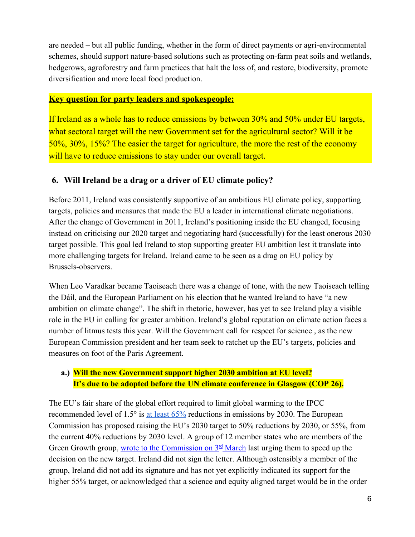are needed – but all public funding, whether in the form of direct payments or agri-environmental schemes, should support nature-based solutions such as protecting on-farm peat soils and wetlands, hedgerows, agroforestry and farm practices that halt the loss of, and restore, biodiversity, promote diversification and more local food production.

### **Key question for party leaders and spokespeople:**

If Ireland as a whole has to reduce emissions by between 30% and 50% under EU targets, what sectoral target will the new Government set for the agricultural sector? Will it be 50%, 30%, 15%? The easier the target for agriculture, the more the rest of the economy will have to reduce emissions to stay under our overall target.

## **6. Will Ireland be a drag or a driver of EU climate policy?**

Before 2011, Ireland was consistently supportive of an ambitious EU climate policy, supporting targets, policies and measures that made the EU a leader in international climate negotiations. After the change of Government in 2011, Ireland's positioning inside the EU changed, focusing instead on criticising our 2020 target and negotiating hard (successfully) for the least onerous 2030 target possible. This goal led Ireland to stop supporting greater EU ambition lest it translate into more challenging targets for Ireland. Ireland came to be seen as a drag on EU policy by Brussels-observers.

When Leo Varadkar became Taoiseach there was a change of tone, with the new Taoiseach telling the Dáil, and the European Parliament on his election that he wanted Ireland to have "a new ambition on climate change". The shift in rhetoric, however, has yet to see Ireland play a visible role in the EU in calling for greater ambition. Ireland's global reputation on climate action faces a number of litmus tests this year. Will the Government call for respect for science , as the new European Commission president and her team seek to ratchet up the EU's targets, policies and measures on foot of the Paris Agreement.

## **a.) Will the new Government support higher 2030 ambition at EU level? It's due to be adopted before the UN climate conference in Glasgow (COP 26).**

The EU's fair share of the global effort required to limit global warming to the IPCC recommended level of 1.5° is [at least 65%](http://www.caneurope.org/publications/blogs/1740-can-europe-calls-for-an-increase-of-the-eu-s-2030-climate-target-to-at-least-65) reductions in emissions by 2030. The European Commission has proposed raising the EU's 2030 target to 50% reductions by 2030, or 55%, from the current 40% reductions by 2030 level. A group of 12 member states who are members of the Green Growth group, [wrote to the Commission on 3](https://www.reuters.com/article/us-climate-change-eu/eu-states-call-for-speedy-2030-climate-plan-ahead-of-u-n-climate-summit-letter-idUSKBN20Q0GS)<sup>[rd](https://www.reuters.com/article/us-climate-change-eu/eu-states-call-for-speedy-2030-climate-plan-ahead-of-u-n-climate-summit-letter-idUSKBN20Q0GS)</sup> [March](https://www.reuters.com/article/us-climate-change-eu/eu-states-call-for-speedy-2030-climate-plan-ahead-of-u-n-climate-summit-letter-idUSKBN20Q0GS) last urging them to speed up the decision on the new target. Ireland did not sign the letter. Although ostensibly a member of the group, Ireland did not add its signature and has not yet explicitly indicated its support for the higher 55% target, or acknowledged that a science and equity aligned target would be in the order